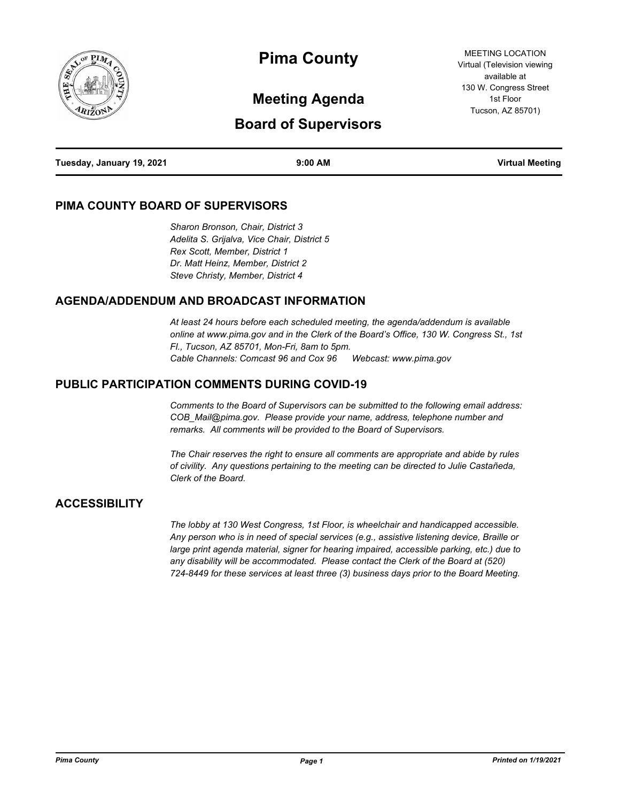

# **Pima County**

# **Meeting Agenda**

# **Board of Supervisors**

MEETING LOCATION Virtual (Television viewing available at 130 W. Congress Street 1st Floor Tucson, AZ 85701)

| Tuesday, January 19, 2021 | $9:00$ AM | <b>Virtual Meeting</b> |
|---------------------------|-----------|------------------------|
|                           |           |                        |

#### **PIMA COUNTY BOARD OF SUPERVISORS**

*Sharon Bronson, Chair, District 3 Adelita S. Grijalva, Vice Chair, District 5 Rex Scott, Member, District 1 Dr. Matt Heinz, Member, District 2 Steve Christy, Member, District 4*

#### **AGENDA/ADDENDUM AND BROADCAST INFORMATION**

*At least 24 hours before each scheduled meeting, the agenda/addendum is available online at www.pima.gov and in the Clerk of the Board's Office, 130 W. Congress St., 1st Fl., Tucson, AZ 85701, Mon-Fri, 8am to 5pm. Cable Channels: Comcast 96 and Cox 96 Webcast: www.pima.gov*

#### **PUBLIC PARTICIPATION COMMENTS DURING COVID-19**

*Comments to the Board of Supervisors can be submitted to the following email address: COB\_Mail@pima.gov. Please provide your name, address, telephone number and remarks. All comments will be provided to the Board of Supervisors.*

*The Chair reserves the right to ensure all comments are appropriate and abide by rules of civility. Any questions pertaining to the meeting can be directed to Julie Castañeda, Clerk of the Board.*

#### **ACCESSIBILITY**

*The lobby at 130 West Congress, 1st Floor, is wheelchair and handicapped accessible. Any person who is in need of special services (e.g., assistive listening device, Braille or large print agenda material, signer for hearing impaired, accessible parking, etc.) due to any disability will be accommodated. Please contact the Clerk of the Board at (520) 724-8449 for these services at least three (3) business days prior to the Board Meeting.*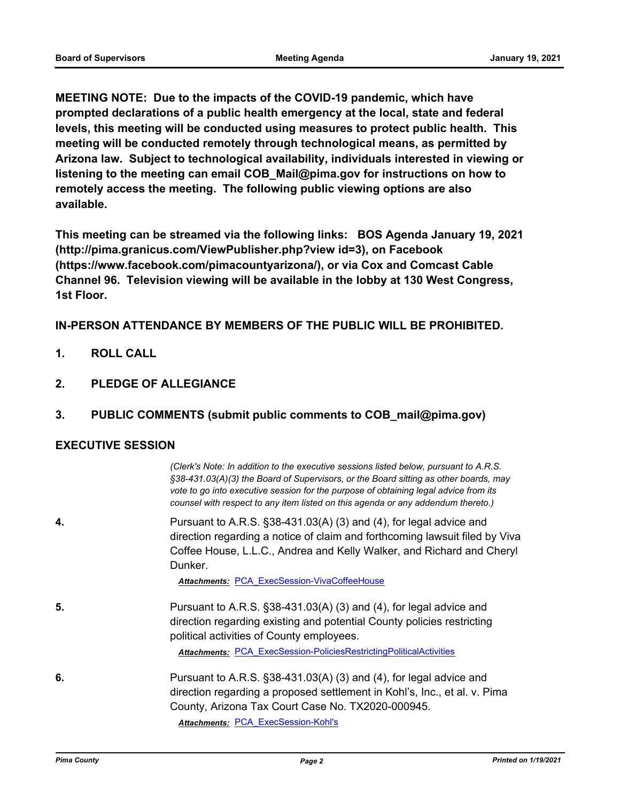**MEETING NOTE: Due to the impacts of the COVID-19 pandemic, which have prompted declarations of a public health emergency at the local, state and federal levels, this meeting will be conducted using measures to protect public health. This meeting will be conducted remotely through technological means, as permitted by Arizona law. Subject to technological availability, individuals interested in viewing or listening to the meeting can email COB\_Mail@pima.gov for instructions on how to remotely access the meeting. The following public viewing options are also available.**

**This meeting can be streamed via the following links: BOS Agenda January 19, 2021 (http://pima.granicus.com/ViewPublisher.php?view id=3), on Facebook (https://www.facebook.com/pimacountyarizona/), or via Cox and Comcast Cable Channel 96. Television viewing will be available in the lobby at 130 West Congress, 1st Floor.**

**IN-PERSON ATTENDANCE BY MEMBERS OF THE PUBLIC WILL BE PROHIBITED.**

- **1. ROLL CALL**
- **2. PLEDGE OF ALLEGIANCE**
- **3. PUBLIC COMMENTS (submit public comments to COB\_mail@pima.gov)**

#### **EXECUTIVE SESSION**

| (Clerk's Note: In addition to the executive sessions listed below, pursuant to A.R.S.<br>§38-431.03(A)(3) the Board of Supervisors, or the Board sitting as other boards, may<br>vote to go into executive session for the purpose of obtaining legal advice from its<br>counsel with respect to any item listed on this agenda or any addendum thereto.) |
|-----------------------------------------------------------------------------------------------------------------------------------------------------------------------------------------------------------------------------------------------------------------------------------------------------------------------------------------------------------|
| Pursuant to A.R.S. $\S$ 38-431.03(A) (3) and (4), for legal advice and<br>direction regarding a notice of claim and forthcoming lawsuit filed by Viva<br>Coffee House, L.L.C., Andrea and Kelly Walker, and Richard and Cheryl<br>Dunker.                                                                                                                 |
| <b>Attachments: PCA ExecSession-VivaCoffeeHouse</b>                                                                                                                                                                                                                                                                                                       |
| Pursuant to A.R.S. $\S$ 38-431.03(A) (3) and (4), for legal advice and<br>direction regarding existing and potential County policies restricting<br>political activities of County employees.                                                                                                                                                             |
| <b>Attachments: PCA ExecSession-PoliciesRestrictingPoliticalActivities</b>                                                                                                                                                                                                                                                                                |
| Pursuant to A.R.S. $\S$ 38-431.03(A) (3) and (4), for legal advice and<br>direction regarding a proposed settlement in Kohl's, Inc., et al. v. Pima<br>County, Arizona Tax Court Case No. TX2020-000945.<br>Attachments: PCA ExecSession-Kohl's                                                                                                           |
|                                                                                                                                                                                                                                                                                                                                                           |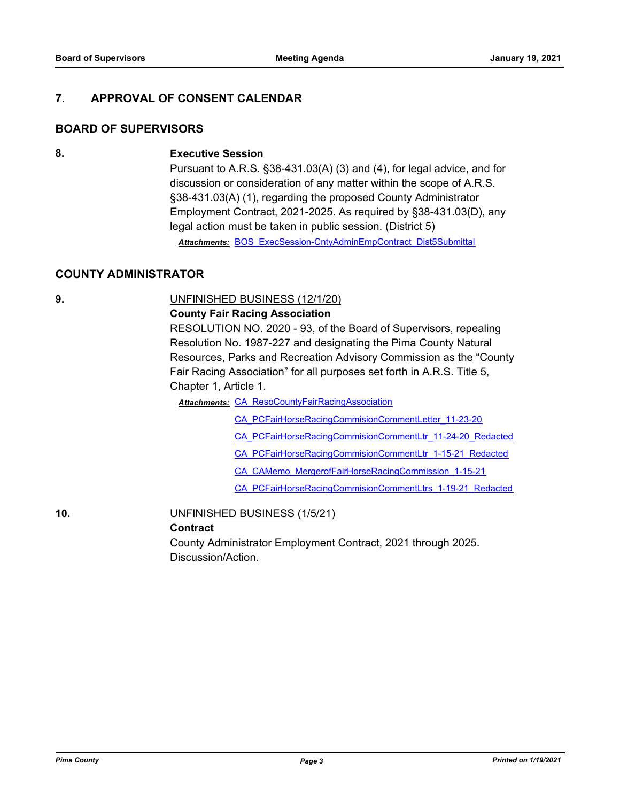#### **7. APPROVAL OF CONSENT CALENDAR**

#### **BOARD OF SUPERVISORS**

#### **8. Executive Session**

Pursuant to A.R.S. §38-431.03(A) (3) and (4), for legal advice, and for discussion or consideration of any matter within the scope of A.R.S. §38-431.03(A) (1), regarding the proposed County Administrator Employment Contract, 2021-2025. As required by §38-431.03(D), any legal action must be taken in public session. (District 5)

*Attachments:* [BOS\\_ExecSession-CntyAdminEmpContract\\_Dist5Submittal](http://pima.legistar.com/gateway.aspx?M=F&ID=2db754d8-bedb-458e-b1ab-4d170dbf8f6b.pdf)

#### **COUNTY ADMINISTRATOR**

#### **9.** UNFINISHED BUSINESS (12/1/20)

#### **County Fair Racing Association**

RESOLUTION NO. 2020 - 93, of the Board of Supervisors, repealing Resolution No. 1987-227 and designating the Pima County Natural Resources, Parks and Recreation Advisory Commission as the "County Fair Racing Association" for all purposes set forth in A.R.S. Title 5, Chapter 1, Article 1.

**Attachments: CA ResoCountyFairRacingAssociation** 

[CA\\_PCFairHorseRacingCommisionCommentLetter\\_11-23-20](http://pima.legistar.com/gateway.aspx?M=F&ID=83365e6c-be2b-494f-a932-49db66de2ce9.pdf)

- [CA\\_PCFairHorseRacingCommisionCommentLtr\\_11-24-20\\_Redacted](http://pima.legistar.com/gateway.aspx?M=F&ID=094a1dea-3dfa-40b1-b630-9dee4c6cb5c2.pdf)
- [CA\\_PCFairHorseRacingCommisionCommentLtr\\_1-15-21\\_Redacted](http://pima.legistar.com/gateway.aspx?M=F&ID=559e955d-8aa0-4134-8677-c625dd487def.pdf)
- [CA\\_CAMemo\\_MergerofFairHorseRacingCommission\\_1-15-21](http://pima.legistar.com/gateway.aspx?M=F&ID=64d210d1-ba82-4280-9619-0d1306b6b218.pdf)

[CA\\_PCFairHorseRacingCommisionCommentLtrs\\_1-19-21\\_Redacted](http://pima.legistar.com/gateway.aspx?M=F&ID=2b204555-b260-49d9-8ad9-3bc0a5c29e97.pdf)

#### **10.** UNFINISHED BUSINESS (1/5/21)

#### **Contract**

County Administrator Employment Contract, 2021 through 2025. Discussion/Action.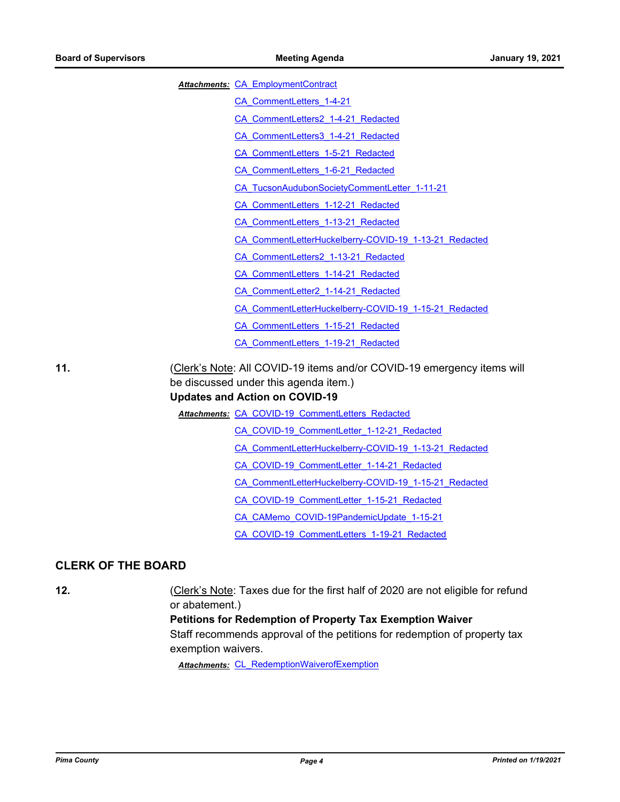|  |  | Attachments: CA EmploymentContract |
|--|--|------------------------------------|
|--|--|------------------------------------|

- [CA\\_CommentLetters\\_1-4-21](http://pima.legistar.com/gateway.aspx?M=F&ID=16a0134f-da9a-4b17-8dca-697a9a9158da.pdf)
- [CA\\_CommentLetters2\\_1-4-21\\_Redacted](http://pima.legistar.com/gateway.aspx?M=F&ID=4c8366e4-9ddb-4d0c-b58e-7c92fb38d07a.pdf)
- [CA\\_CommentLetters3\\_1-4-21\\_Redacted](http://pima.legistar.com/gateway.aspx?M=F&ID=a2d8b31a-baf4-48e1-ba0d-f47f1cb626fa.pdf)
- [CA\\_CommentLetters\\_1-5-21\\_Redacted](http://pima.legistar.com/gateway.aspx?M=F&ID=0c7655b3-691b-4a19-97d9-c65d711b2fd5.pdf)
- [CA\\_CommentLetters\\_1-6-21\\_Redacted](http://pima.legistar.com/gateway.aspx?M=F&ID=14e7d436-2c36-4bc2-9aa4-b66cd5ee5c4b.pdf)
- [CA\\_TucsonAudubonSocietyCommentLetter\\_1-11-21](http://pima.legistar.com/gateway.aspx?M=F&ID=e2e59f37-3f20-4a16-b1f4-548735135aa8.pdf)
- [CA\\_CommentLetters\\_1-12-21\\_Redacted](http://pima.legistar.com/gateway.aspx?M=F&ID=69faacc7-d30e-44f0-8749-75e3e9f680cd.pdf)
- [CA\\_CommentLetters\\_1-13-21\\_Redacted](http://pima.legistar.com/gateway.aspx?M=F&ID=7dfba350-fce5-4252-bc8c-d8cf1fbedc76.pdf)
- [CA\\_CommentLetterHuckelberry-COVID-19\\_1-13-21\\_Redacted](http://pima.legistar.com/gateway.aspx?M=F&ID=98387d25-2232-459d-9c21-6c828f8e3602.pdf)
- [CA\\_CommentLetters2\\_1-13-21\\_Redacted](http://pima.legistar.com/gateway.aspx?M=F&ID=a6d4996c-6b87-40d5-b8ac-5959f0be2b11.pdf)
- [CA\\_CommentLetters\\_1-14-21\\_Redacted](http://pima.legistar.com/gateway.aspx?M=F&ID=7433ee21-2370-47fe-be44-9dce4be93309.pdf)
- [CA\\_CommentLetter2\\_1-14-21\\_Redacted](http://pima.legistar.com/gateway.aspx?M=F&ID=6a921ba5-ee68-407b-ad61-bb52f9173bde.pdf)
- [CA\\_CommentLetterHuckelberry-COVID-19\\_1-15-21\\_Redacted](http://pima.legistar.com/gateway.aspx?M=F&ID=c768e4de-0cef-401f-b002-4f10fd53248b.pdf)
- [CA\\_CommentLetters\\_1-15-21\\_Redacted](http://pima.legistar.com/gateway.aspx?M=F&ID=42a583b8-0778-4cd6-bb5a-0fd235953af6.pdf)
- [CA\\_CommentLetters\\_1-19-21\\_Redacted](http://pima.legistar.com/gateway.aspx?M=F&ID=0ee8d648-3460-4f1b-9447-6ac68cbc3983.pdf)

**11.** (Clerk's Note: All COVID-19 items and/or COVID-19 emergency items will be discussed under this agenda item.)

#### **Updates and Action on COVID-19**

Attachments: [CA\\_COVID-19\\_CommentLetters\\_Redacted](http://pima.legistar.com/gateway.aspx?M=F&ID=3b6518b5-2f0b-4970-abae-0582fd6d8851.pdf)

- [CA\\_COVID-19\\_CommentLetter\\_1-12-21\\_Redacted](http://pima.legistar.com/gateway.aspx?M=F&ID=ea8ff54d-0a23-4e50-ad08-e164109dfc03.pdf)
- [CA\\_CommentLetterHuckelberry-COVID-19\\_1-13-21\\_Redacted](http://pima.legistar.com/gateway.aspx?M=F&ID=008e91c3-ee02-45b3-a6da-75f59398e6b9.pdf)
- [CA\\_COVID-19\\_CommentLetter\\_1-14-21\\_Redacted](http://pima.legistar.com/gateway.aspx?M=F&ID=09ac7491-4194-49c3-8759-d2d5b4779c54.pdf)
- [CA\\_CommentLetterHuckelberry-COVID-19\\_1-15-21\\_Redacted](http://pima.legistar.com/gateway.aspx?M=F&ID=12512e32-9157-4c05-8d11-93d5b100ad3e.pdf)
- [CA\\_COVID-19\\_CommentLetter\\_1-15-21\\_Redacted](http://pima.legistar.com/gateway.aspx?M=F&ID=37f5582c-ce4f-4ca4-9cc6-0adf450e3d14.pdf)
- [CA\\_CAMemo\\_COVID-19PandemicUpdate\\_1-15-21](http://pima.legistar.com/gateway.aspx?M=F&ID=342319c3-c719-4e79-b93f-d95ed299e043.pdf)
- [CA\\_COVID-19\\_CommentLetters\\_1-19-21\\_Redacted](http://pima.legistar.com/gateway.aspx?M=F&ID=60630e77-aa80-4c3c-8343-8f2877664673.pdf)

#### **CLERK OF THE BOARD**

**12.** (Clerk's Note: Taxes due for the first half of 2020 are not eligible for refund or abatement.)

#### **Petitions for Redemption of Property Tax Exemption Waiver**

Staff recommends approval of the petitions for redemption of property tax exemption waivers.

*Attachments:* [CL\\_RedemptionWaiverofExemption](http://pima.legistar.com/gateway.aspx?M=F&ID=cac045a3-0718-4d49-9ff7-fbe1de6f6579.pdf)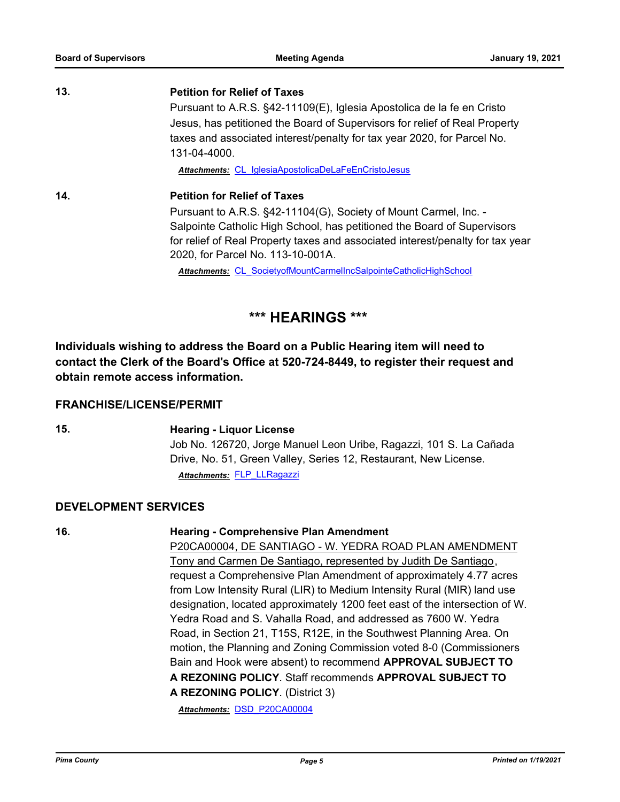## **13. Petition for Relief of Taxes** Pursuant to A.R.S. §42-11109(E), Iglesia Apostolica de la fe en Cristo Jesus, has petitioned the Board of Supervisors for relief of Real Property taxes and associated interest/penalty for tax year 2020, for Parcel No. 131-04-4000. *Attachments:* [CL\\_IglesiaApostolicaDeLaFeEnCristoJesus](http://pima.legistar.com/gateway.aspx?M=F&ID=7073c7cb-424b-4f19-ae7e-0235b4f2dbec.pdf) **14. Petition for Relief of Taxes** Pursuant to A.R.S. §42-11104(G), Society of Mount Carmel, Inc. - Salpointe Catholic High School, has petitioned the Board of Supervisors for relief of Real Property taxes and associated interest/penalty for tax year 2020, for Parcel No. 113-10-001A.

*Attachments:* [CL\\_SocietyofMountCarmelIncSalpointeCatholicHighSchool](http://pima.legistar.com/gateway.aspx?M=F&ID=4acec222-aed2-4f16-b73c-2e99ee9a062d.pdf)

# **\*\*\* HEARINGS \*\*\***

**Individuals wishing to address the Board on a Public Hearing item will need to contact the Clerk of the Board's Office at 520-724-8449, to register their request and obtain remote access information.**

### **FRANCHISE/LICENSE/PERMIT**

#### **15. Hearing - Liquor License**

Job No. 126720, Jorge Manuel Leon Uribe, Ragazzi, 101 S. La Cañada Drive, No. 51, Green Valley, Series 12, Restaurant, New License. *Attachments:* [FLP\\_LLRagazzi](http://pima.legistar.com/gateway.aspx?M=F&ID=dd9dcc47-b657-4e3d-a4f5-5a99009b0fe2.pdf)

#### **DEVELOPMENT SERVICES**

#### **16. Hearing - Comprehensive Plan Amendment**

P20CA00004, DE SANTIAGO - W. YEDRA ROAD PLAN AMENDMENT Tony and Carmen De Santiago, represented by Judith De Santiago, request a Comprehensive Plan Amendment of approximately 4.77 acres from Low Intensity Rural (LIR) to Medium Intensity Rural (MIR) land use designation, located approximately 1200 feet east of the intersection of W. Yedra Road and S. Vahalla Road, and addressed as 7600 W. Yedra Road, in Section 21, T15S, R12E, in the Southwest Planning Area. On motion, the Planning and Zoning Commission voted 8-0 (Commissioners Bain and Hook were absent) to recommend **APPROVAL SUBJECT TO A REZONING POLICY**. Staff recommends **APPROVAL SUBJECT TO A REZONING POLICY**. (District 3)

*Attachments:* [DSD\\_P20CA00004](http://pima.legistar.com/gateway.aspx?M=F&ID=f24d88be-fd8d-4877-982d-a389773f5144.pdf)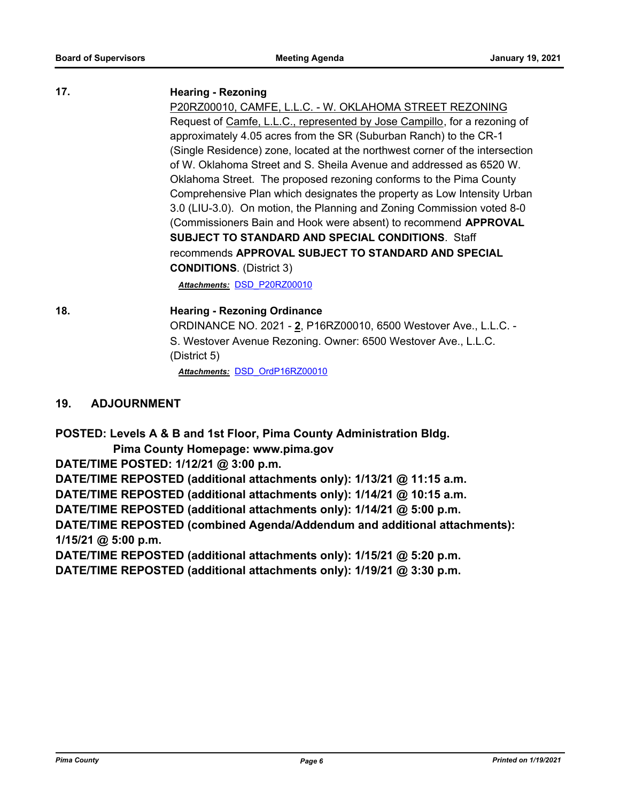#### **17. Hearing - Rezoning**

P20RZ00010, CAMFE, L.L.C. - W. OKLAHOMA STREET REZONING Request of Camfe, L.L.C., represented by Jose Campillo, for a rezoning of approximately 4.05 acres from the SR (Suburban Ranch) to the CR-1 (Single Residence) zone, located at the northwest corner of the intersection of W. Oklahoma Street and S. Sheila Avenue and addressed as 6520 W. Oklahoma Street. The proposed rezoning conforms to the Pima County Comprehensive Plan which designates the property as Low Intensity Urban 3.0 (LIU-3.0). On motion, the Planning and Zoning Commission voted 8-0 (Commissioners Bain and Hook were absent) to recommend **APPROVAL SUBJECT TO STANDARD AND SPECIAL CONDITIONS**. Staff recommends **APPROVAL SUBJECT TO STANDARD AND SPECIAL CONDITIONS**. (District 3)

*Attachments:* [DSD\\_P20RZ00010](http://pima.legistar.com/gateway.aspx?M=F&ID=29a03eef-a2d2-454a-9594-622e3cc398e1.pdf)

**18. Hearing - Rezoning Ordinance** ORDINANCE NO. 2021 - **2**, P16RZ00010, 6500 Westover Ave., L.L.C. - S. Westover Avenue Rezoning. Owner: 6500 Westover Ave., L.L.C. (District 5)

*Attachments:* [DSD\\_OrdP16RZ00010](http://pima.legistar.com/gateway.aspx?M=F&ID=86238422-8f3f-4e98-a5aa-974cecff61f3.pdf)

#### **19. ADJOURNMENT**

**POSTED: Levels A & B and 1st Floor, Pima County Administration Bldg.**

 **Pima County Homepage: www.pima.gov**

**DATE/TIME POSTED: 1/12/21 @ 3:00 p.m.**

**DATE/TIME REPOSTED (additional attachments only): 1/13/21 @ 11:15 a.m.**

**DATE/TIME REPOSTED (additional attachments only): 1/14/21 @ 10:15 a.m.**

**DATE/TIME REPOSTED (additional attachments only): 1/14/21 @ 5:00 p.m.**

**DATE/TIME REPOSTED (combined Agenda/Addendum and additional attachments): 1/15/21 @ 5:00 p.m.**

**DATE/TIME REPOSTED (additional attachments only): 1/15/21 @ 5:20 p.m.**

**DATE/TIME REPOSTED (additional attachments only): 1/19/21 @ 3:30 p.m.**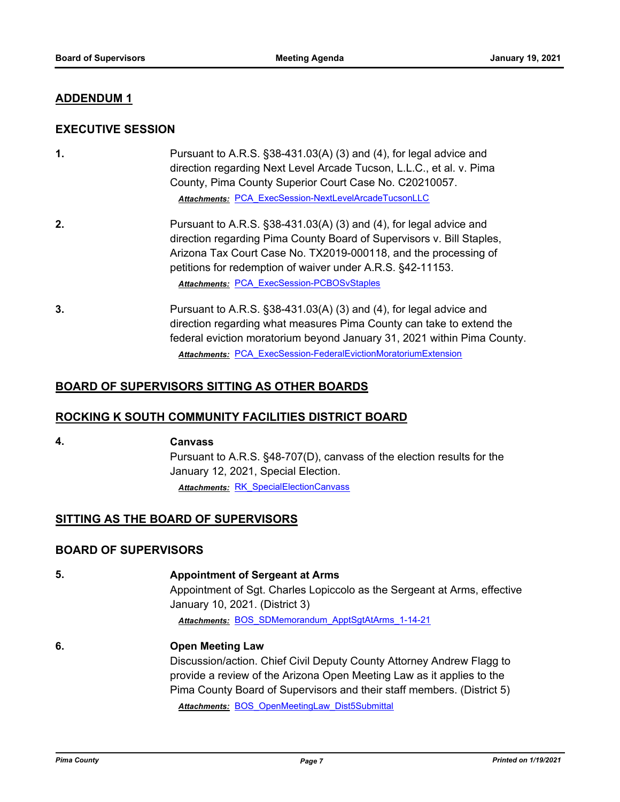#### **ADDENDUM 1**

#### **EXECUTIVE SESSION**

| $\mathbf 1$ . | Pursuant to A.R.S. $\S$ 38-431.03(A) (3) and (4), for legal advice and<br>direction regarding Next Level Arcade Tucson, L.L.C., et al. v. Pima<br>County, Pima County Superior Court Case No. C20210057.<br>Attachments: PCA ExecSession-NextLevelArcadeTucsonLLC                                                                 |
|---------------|-----------------------------------------------------------------------------------------------------------------------------------------------------------------------------------------------------------------------------------------------------------------------------------------------------------------------------------|
| 2.            | Pursuant to A.R.S. §38-431.03(A) (3) and (4), for legal advice and<br>direction regarding Pima County Board of Supervisors v. Bill Staples,<br>Arizona Tax Court Case No. TX2019-000118, and the processing of<br>petitions for redemption of waiver under A.R.S. §42-11153.<br><b>Attachments: PCA ExecSession-PCBOSvStaples</b> |
| 3.            | Pursuant to A.R.S. $\S$ 38-431.03(A) (3) and (4), for legal advice and<br>direction regarding what measures Pima County can take to extend the<br>federal eviction moratorium beyond January 31, 2021 within Pima County.<br><b>Attachments: PCA ExecSession-FederalEvictionMoratoriumExtension</b>                               |

#### **BOARD OF SUPERVISORS SITTING AS OTHER BOARDS**

#### **ROCKING K SOUTH COMMUNITY FACILITIES DISTRICT BOARD**

#### **4. Canvass**

Pursuant to A.R.S. §48-707(D), canvass of the election results for the January 12, 2021, Special Election. *Attachments:* [RK\\_SpecialElectionCanvass](http://pima.legistar.com/gateway.aspx?M=F&ID=c7cacd6b-268f-4937-bdfa-b8c7ba3ab767.pdf)

#### **SITTING AS THE BOARD OF SUPERVISORS**

#### **BOARD OF SUPERVISORS**

**5. Appointment of Sergeant at Arms** Appointment of Sgt. Charles Lopiccolo as the Sergeant at Arms, effective January 10, 2021. (District 3) *Attachments:* [BOS\\_SDMemorandum\\_ApptSgtAtArms\\_1-14-21](http://pima.legistar.com/gateway.aspx?M=F&ID=67c495ad-e205-4563-ad36-78b3f487857a.pdf) **6. Open Meeting Law** Discussion/action. Chief Civil Deputy County Attorney Andrew Flagg to provide a review of the Arizona Open Meeting Law as it applies to the

Pima County Board of Supervisors and their staff members. (District 5) *Attachments:* [BOS\\_OpenMeetingLaw\\_Dist5Submittal](http://pima.legistar.com/gateway.aspx?M=F&ID=f7e69d83-7280-4386-a675-ec1bda8a66ec.pdf)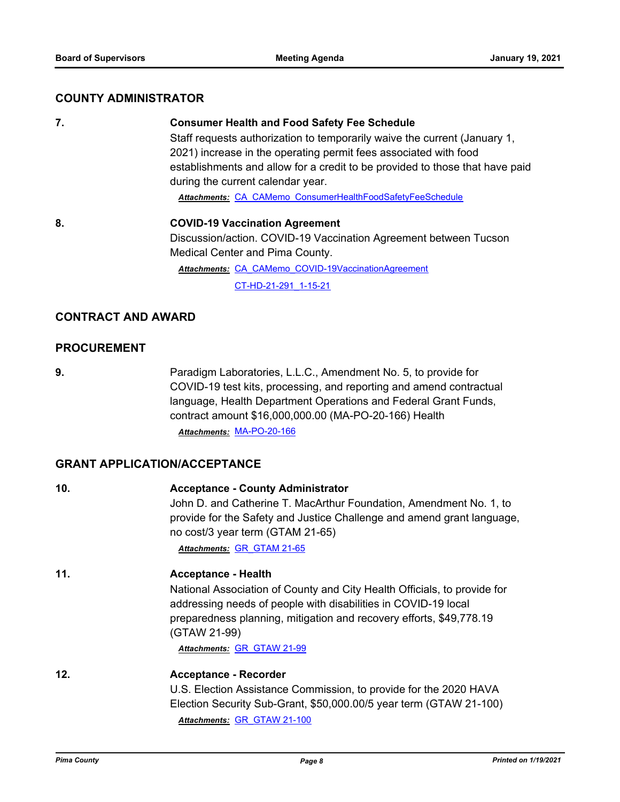#### **COUNTY ADMINISTRATOR**

|  | I |
|--|---|
|  |   |
|  |   |
|  |   |

#### **7. Consumer Health and Food Safety Fee Schedule**

Staff requests authorization to temporarily waive the current (January 1, 2021) increase in the operating permit fees associated with food establishments and allow for a credit to be provided to those that have paid during the current calendar year.

*Attachments:* [CA\\_CAMemo\\_ConsumerHealthFoodSafetyFeeSchedule](http://pima.legistar.com/gateway.aspx?M=F&ID=8ac3f01a-ed05-4e36-91f5-09a34b6cd7f2.pdf)

**8. COVID-19 Vaccination Agreement** Discussion/action. COVID-19 Vaccination Agreement between Tucson Medical Center and Pima County. Attachments: CA CAMemo COVID-19VaccinationAgreement

[CT-HD-21-291\\_1-15-21](http://pima.legistar.com/gateway.aspx?M=F&ID=31cf7f25-67de-4802-b735-1e2060124833.pdf)

#### **CONTRACT AND AWARD**

#### **PROCUREMENT**

**9.** Paradigm Laboratories, L.L.C., Amendment No. 5, to provide for COVID-19 test kits, processing, and reporting and amend contractual language, Health Department Operations and Federal Grant Funds, contract amount \$16,000,000.00 (MA-PO-20-166) Health *Attachments:* [MA-PO-20-166](http://pima.legistar.com/gateway.aspx?M=F&ID=a3e14a28-e9be-4c0f-9d94-60f7fe9d200e.pdf)

#### **GRANT APPLICATION/ACCEPTANCE**

| 10. | <b>Acceptance - County Administrator</b><br>John D. and Catherine T. MacArthur Foundation, Amendment No. 1, to<br>provide for the Safety and Justice Challenge and amend grant language,<br>no cost/3 year term (GTAM 21-65)<br>Attachments: GR GTAM 21-65                                    |
|-----|-----------------------------------------------------------------------------------------------------------------------------------------------------------------------------------------------------------------------------------------------------------------------------------------------|
| 11. | <b>Acceptance - Health</b><br>National Association of County and City Health Officials, to provide for<br>addressing needs of people with disabilities in COVID-19 local<br>preparedness planning, mitigation and recovery efforts, \$49,778.19<br>(GTAW 21-99)<br>Attachments: GR GTAW 21-99 |
| 12. | <b>Acceptance - Recorder</b><br>U.S. Election Assistance Commission, to provide for the 2020 HAVA<br>Election Security Sub-Grant, \$50,000.00/5 year term (GTAW 21-100)<br>Attachments: GR GTAW 21-100                                                                                        |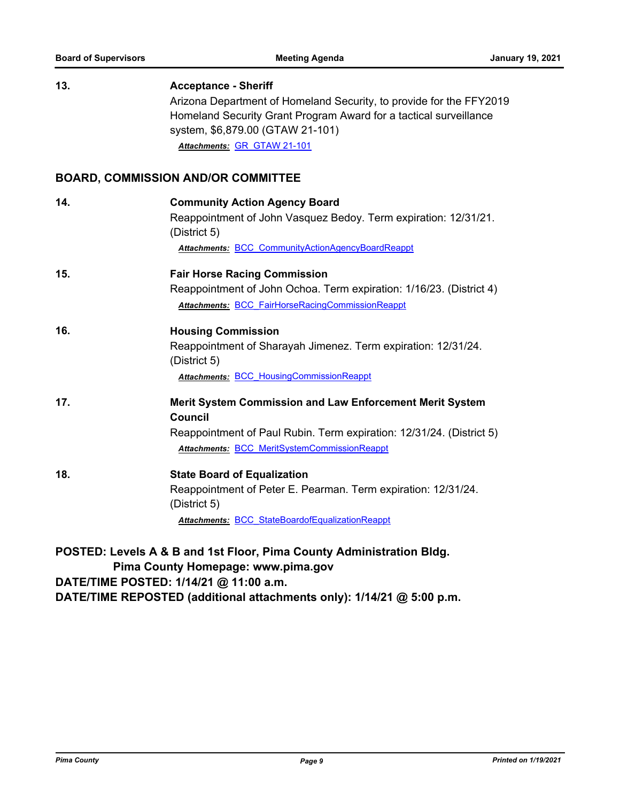| 13.                                                                                                                                                  | <b>Acceptance - Sheriff</b>                                                                                                                                                  |  |
|------------------------------------------------------------------------------------------------------------------------------------------------------|------------------------------------------------------------------------------------------------------------------------------------------------------------------------------|--|
|                                                                                                                                                      | Arizona Department of Homeland Security, to provide for the FFY2019<br>Homeland Security Grant Program Award for a tactical surveillance<br>system, \$6,879.00 (GTAW 21-101) |  |
|                                                                                                                                                      | Attachments: GR GTAW 21-101                                                                                                                                                  |  |
|                                                                                                                                                      | <b>BOARD, COMMISSION AND/OR COMMITTEE</b>                                                                                                                                    |  |
| 14.                                                                                                                                                  | <b>Community Action Agency Board</b>                                                                                                                                         |  |
|                                                                                                                                                      | Reappointment of John Vasquez Bedoy. Term expiration: 12/31/21.<br>(District 5)                                                                                              |  |
|                                                                                                                                                      | Attachments: BCC CommunityActionAgencyBoardReappt                                                                                                                            |  |
| 15.                                                                                                                                                  | <b>Fair Horse Racing Commission</b>                                                                                                                                          |  |
|                                                                                                                                                      | Reappointment of John Ochoa. Term expiration: 1/16/23. (District 4)                                                                                                          |  |
|                                                                                                                                                      | Attachments: BCC FairHorseRacingCommissionReappt                                                                                                                             |  |
| 16.                                                                                                                                                  | <b>Housing Commission</b>                                                                                                                                                    |  |
|                                                                                                                                                      | Reappointment of Sharayah Jimenez. Term expiration: 12/31/24.<br>(District 5)                                                                                                |  |
|                                                                                                                                                      | <b>Attachments: BCC HousingCommissionReappt</b>                                                                                                                              |  |
| 17.                                                                                                                                                  | <b>Merit System Commission and Law Enforcement Merit System</b><br><b>Council</b>                                                                                            |  |
|                                                                                                                                                      | Reappointment of Paul Rubin. Term expiration: 12/31/24. (District 5)                                                                                                         |  |
|                                                                                                                                                      | <b>Attachments: BCC MeritSystemCommissionReappt</b>                                                                                                                          |  |
| 18.                                                                                                                                                  | <b>State Board of Equalization</b>                                                                                                                                           |  |
|                                                                                                                                                      | Reappointment of Peter E. Pearman. Term expiration: 12/31/24.<br>(District 5)                                                                                                |  |
|                                                                                                                                                      | Attachments: BCC StateBoardofEqualizationReappt                                                                                                                              |  |
| POSTED: Levels A & B and 1st Floor, Pima County Administration Bldg.<br>Pima County Homepage: www.pima.gov<br>DATE/TIME POSTED: 1/14/21 @ 11:00 a.m. |                                                                                                                                                                              |  |
| DATE/TIME REPOSTED (additional attachments only): 1/14/21 @ 5:00 p.m.                                                                                |                                                                                                                                                                              |  |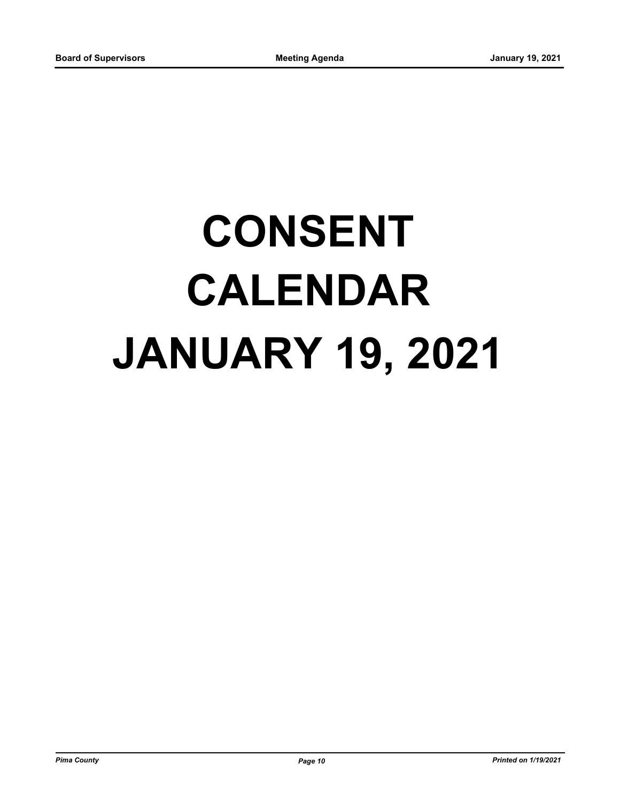# **CONSENT CALENDAR JANUARY 19, 2021**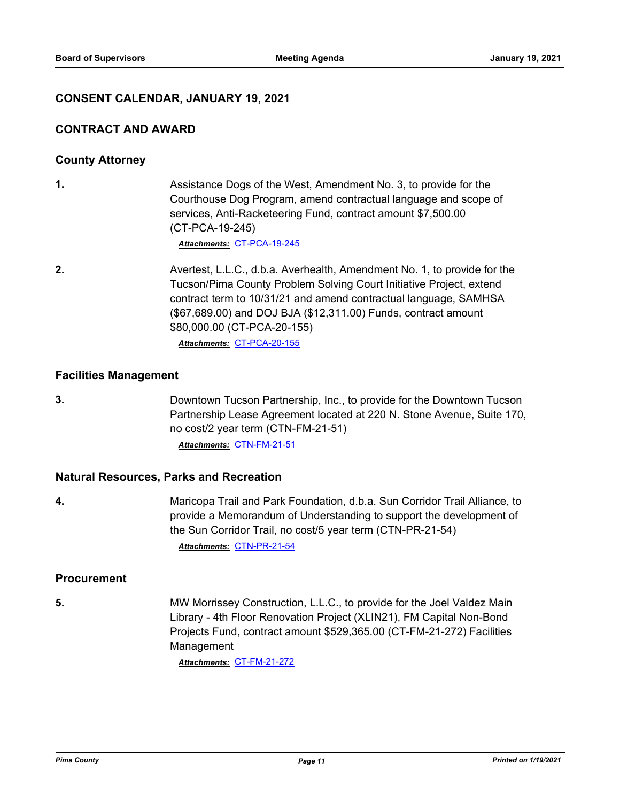#### **CONSENT CALENDAR, JANUARY 19, 2021**

#### **CONTRACT AND AWARD**

#### **County Attorney**

**1.** Assistance Dogs of the West, Amendment No. 3, to provide for the Courthouse Dog Program, amend contractual language and scope of services, Anti-Racketeering Fund, contract amount \$7,500.00 (CT-PCA-19-245)

*Attachments:* [CT-PCA-19-245](http://pima.legistar.com/gateway.aspx?M=F&ID=5404d997-28bf-441c-905a-d0b224cf84ce.pdf)

**2.** Avertest, L.L.C., d.b.a. Averhealth, Amendment No. 1, to provide for the Tucson/Pima County Problem Solving Court Initiative Project, extend contract term to 10/31/21 and amend contractual language, SAMHSA (\$67,689.00) and DOJ BJA (\$12,311.00) Funds, contract amount \$80,000.00 (CT-PCA-20-155)

*Attachments:* [CT-PCA-20-155](http://pima.legistar.com/gateway.aspx?M=F&ID=4978e38a-1c6d-4e3a-ad38-eafcb16da194.pdf)

#### **Facilities Management**

**3.** Downtown Tucson Partnership, Inc., to provide for the Downtown Tucson Partnership Lease Agreement located at 220 N. Stone Avenue, Suite 170, no cost/2 year term (CTN-FM-21-51) *Attachments:* [CTN-FM-21-51](http://pima.legistar.com/gateway.aspx?M=F&ID=4e148237-c2d0-4577-a276-4e6639bb7fb9.pdf)

#### **Natural Resources, Parks and Recreation**

**4.** Maricopa Trail and Park Foundation, d.b.a. Sun Corridor Trail Alliance, to provide a Memorandum of Understanding to support the development of the Sun Corridor Trail, no cost/5 year term (CTN-PR-21-54) *Attachments:* [CTN-PR-21-54](http://pima.legistar.com/gateway.aspx?M=F&ID=207d8200-52fa-42f5-b83d-ea8d6b6164f7.pdf)

#### **Procurement**

**5.** MW Morrissey Construction, L.L.C., to provide for the Joel Valdez Main Library - 4th Floor Renovation Project (XLIN21), FM Capital Non-Bond Projects Fund, contract amount \$529,365.00 (CT-FM-21-272) Facilities Management

*Attachments:* [CT-FM-21-272](http://pima.legistar.com/gateway.aspx?M=F&ID=2414c00c-2bc9-41be-827a-1af8b560c427.pdf)